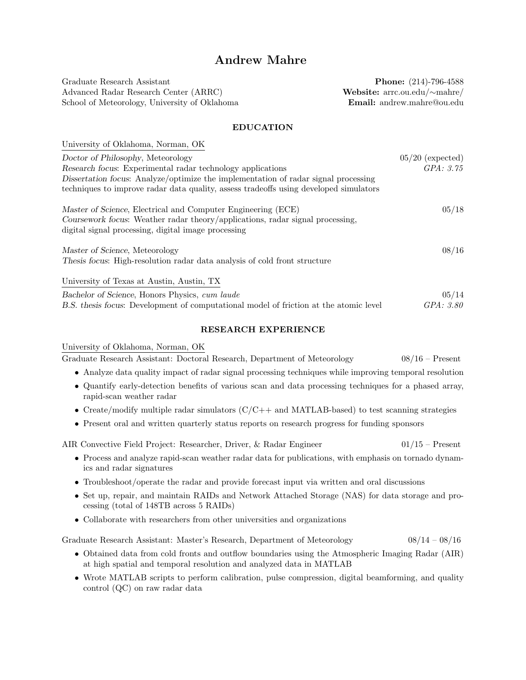# Andrew Mahre

Graduate Research Assistant **Phone:** (214)-796-4588 Advanced Radar Research Center (ARRC) Website: arrc.ou.edu/∼mahre/ School of Meteorology, University of Oklahoma **Email:** andrew.mahre@ou.edu

#### EDUCATION

| University of Oklahoma, Norman, OK                                                                                                                                                                   |                    |
|------------------------------------------------------------------------------------------------------------------------------------------------------------------------------------------------------|--------------------|
| Doctor of Philosophy, Meteorology                                                                                                                                                                    | $05/20$ (expected) |
| Research focus: Experimental radar technology applications                                                                                                                                           | GPA: 3.75          |
| Dissertation focus: Analyze/optimize the implementation of radar signal processing<br>techniques to improve radar data quality, assess tradeoffs using developed simulators                          |                    |
| Master of Science, Electrical and Computer Engineering (ECE)<br>Coursework focus: Weather radar theory/applications, radar signal processing,<br>digital signal processing, digital image processing | 05/18              |
| Master of Science, Meteorology<br>Thesis focus: High-resolution radar data analysis of cold front structure                                                                                          | 08/16              |
| University of Texas at Austin, Austin, TX                                                                                                                                                            |                    |
| Bachelor of Science, Honors Physics, cum laude                                                                                                                                                       | 05/14              |
| B.S. thesis focus: Development of computational model of friction at the atomic level                                                                                                                | GPA: 3.80          |

#### RESEARCH EXPERIENCE

University of Oklahoma, Norman, OK

Graduate Research Assistant: Doctoral Research, Department of Meteorology 08/16 – Present

- Analyze data quality impact of radar signal processing techniques while improving temporal resolution
- Quantify early-detection benefits of various scan and data processing techniques for a phased array, rapid-scan weather radar
- Create/modify multiple radar simulators  $(C/C++$  and MATLAB-based) to test scanning strategies
- Present oral and written quarterly status reports on research progress for funding sponsors

AIR Convective Field Project: Researcher, Driver, & Radar Engineer 01/15 – Present

- Process and analyze rapid-scan weather radar data for publications, with emphasis on tornado dynamics and radar signatures
- Troubleshoot/operate the radar and provide forecast input via written and oral discussions
- Set up, repair, and maintain RAIDs and Network Attached Storage (NAS) for data storage and processing (total of 148TB across 5 RAIDs)
- Collaborate with researchers from other universities and organizations

Graduate Research Assistant: Master's Research, Department of Meteorology 08/14 – 08/16

- Obtained data from cold fronts and outflow boundaries using the Atmospheric Imaging Radar (AIR) at high spatial and temporal resolution and analyzed data in MATLAB
- Wrote MATLAB scripts to perform calibration, pulse compression, digital beamforming, and quality control (QC) on raw radar data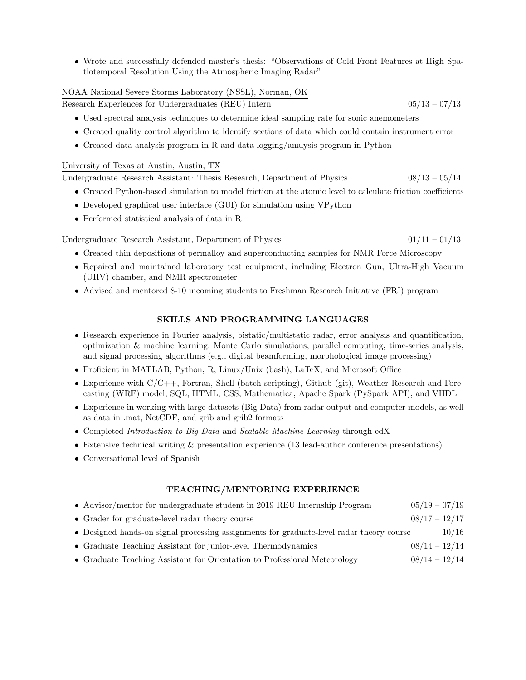• Wrote and successfully defended master's thesis: "Observations of Cold Front Features at High Spatiotemporal Resolution Using the Atmospheric Imaging Radar"

#### NOAA National Severe Storms Laboratory (NSSL), Norman, OK

Research Experiences for Undergraduates (REU) Intern 05/13 – 07/13

- Used spectral analysis techniques to determine ideal sampling rate for sonic anemometers
- Created quality control algorithm to identify sections of data which could contain instrument error
- Created data analysis program in R and data logging/analysis program in Python

#### University of Texas at Austin, Austin, TX

Undergraduate Research Assistant: Thesis Research, Department of Physics 08/13 – 05/14

- Created Python-based simulation to model friction at the atomic level to calculate friction coefficients
- Developed graphical user interface (GUI) for simulation using VPython
- Performed statistical analysis of data in R

Undergraduate Research Assistant, Department of Physics  $01/11 - 01/13$ 

- Created thin depositions of permalloy and superconducting samples for NMR Force Microscopy
- Repaired and maintained laboratory test equipment, including Electron Gun, Ultra-High Vacuum (UHV) chamber, and NMR spectrometer
- Advised and mentored 8-10 incoming students to Freshman Research Initiative (FRI) program

## SKILLS AND PROGRAMMING LANGUAGES

- Research experience in Fourier analysis, bistatic/multistatic radar, error analysis and quantification, optimization & machine learning, Monte Carlo simulations, parallel computing, time-series analysis, and signal processing algorithms (e.g., digital beamforming, morphological image processing)
- Proficient in MATLAB, Python, R, Linux/Unix (bash), LaTeX, and Microsoft Office
- Experience with  $C/C++$ , Fortran, Shell (batch scripting), Github (git), Weather Research and Forecasting (WRF) model, SQL, HTML, CSS, Mathematica, Apache Spark (PySpark API), and VHDL
- Experience in working with large datasets (Big Data) from radar output and computer models, as well as data in .mat, NetCDF, and grib and grib2 formats
- Completed Introduction to Big Data and Scalable Machine Learning through edX
- Extensive technical writing & presentation experience (13 lead-author conference presentations)
- Conversational level of Spanish

### TEACHING/MENTORING EXPERIENCE

| • Advisor/mentor for undergraduate student in 2019 REU Internship Program                | $05/19 - 07/19$ |       |
|------------------------------------------------------------------------------------------|-----------------|-------|
| • Grader for graduate-level radar theory course                                          | $08/17 - 12/17$ |       |
| • Designed hands-on signal processing assignments for graduate-level radar theory course |                 | 10/16 |
| • Graduate Teaching Assistant for junior-level Thermodynamics                            | $08/14 - 12/14$ |       |
| • Graduate Teaching Assistant for Orientation to Professional Meteorology                | $08/14 - 12/14$ |       |
|                                                                                          |                 |       |